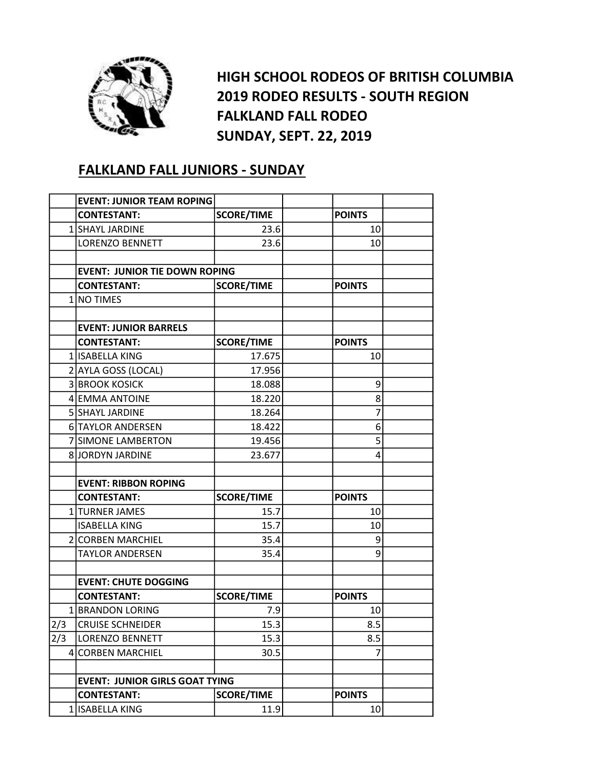

HIGH SCHOOL RODEOS OF BRITISH COLUMBIA 2019 RODEO RESULTS - SOUTH REGION FALKLAND FALL RODEO SUNDAY, SEPT. 22, 2019

## FALKLAND FALL JUNIORS - SUNDAY

|     | <b>EVENT: JUNIOR TEAM ROPING</b>      |                   |               |  |
|-----|---------------------------------------|-------------------|---------------|--|
|     | <b>CONTESTANT:</b>                    | <b>SCORE/TIME</b> | <b>POINTS</b> |  |
|     | 1 SHAYL JARDINE                       | 23.6              | 10            |  |
|     | <b>LORENZO BENNETT</b>                | 23.6              | 10            |  |
|     |                                       |                   |               |  |
|     | <b>EVENT: JUNIOR TIE DOWN ROPING</b>  |                   |               |  |
|     | <b>CONTESTANT:</b>                    | <b>SCORE/TIME</b> | <b>POINTS</b> |  |
|     | 1 NO TIMES                            |                   |               |  |
|     |                                       |                   |               |  |
|     | <b>EVENT: JUNIOR BARRELS</b>          |                   |               |  |
|     | <b>CONTESTANT:</b>                    | <b>SCORE/TIME</b> | <b>POINTS</b> |  |
|     | 1 ISABELLA KING                       | 17.675            | 10            |  |
|     | 2 AYLA GOSS (LOCAL)                   | 17.956            |               |  |
|     | <b>3 BROOK KOSICK</b>                 | 18.088            | 9             |  |
|     | 4 EMMA ANTOINE                        | 18.220            | 8             |  |
|     | 5 SHAYL JARDINE                       | 18.264            | 7             |  |
|     | <b>6 TAYLOR ANDERSEN</b>              | 18.422            | 6             |  |
|     | 7 SIMONE LAMBERTON                    | 19.456            | 5             |  |
|     | 8 JORDYN JARDINE                      | 23.677            | 4             |  |
|     |                                       |                   |               |  |
|     | <b>EVENT: RIBBON ROPING</b>           |                   |               |  |
|     | <b>CONTESTANT:</b>                    | <b>SCORE/TIME</b> | <b>POINTS</b> |  |
|     | 1 TURNER JAMES                        | 15.7              | 10            |  |
|     | <b>ISABELLA KING</b>                  | 15.7              | 10            |  |
|     | 2 CORBEN MARCHIEL                     | 35.4              | 9             |  |
|     | TAYLOR ANDERSEN                       | 35.4              | 9             |  |
|     |                                       |                   |               |  |
|     | <b>EVENT: CHUTE DOGGING</b>           |                   |               |  |
|     | <b>CONTESTANT:</b>                    | <b>SCORE/TIME</b> | <b>POINTS</b> |  |
|     | 1 BRANDON LORING                      | 7.9               | 10            |  |
| 2/3 | <b>CRUISE SCHNEIDER</b>               | 15.3              | 8.5           |  |
| 2/3 | <b>LORENZO BENNETT</b>                | 15.3              | 8.5           |  |
|     | 4 CORBEN MARCHIEL                     | 30.5              | 7             |  |
|     |                                       |                   |               |  |
|     | <b>EVENT: JUNIOR GIRLS GOAT TYING</b> |                   |               |  |
|     | <b>CONTESTANT:</b>                    | <b>SCORE/TIME</b> | <b>POINTS</b> |  |
|     | 1 ISABELLA KING                       | 11.9              | 10            |  |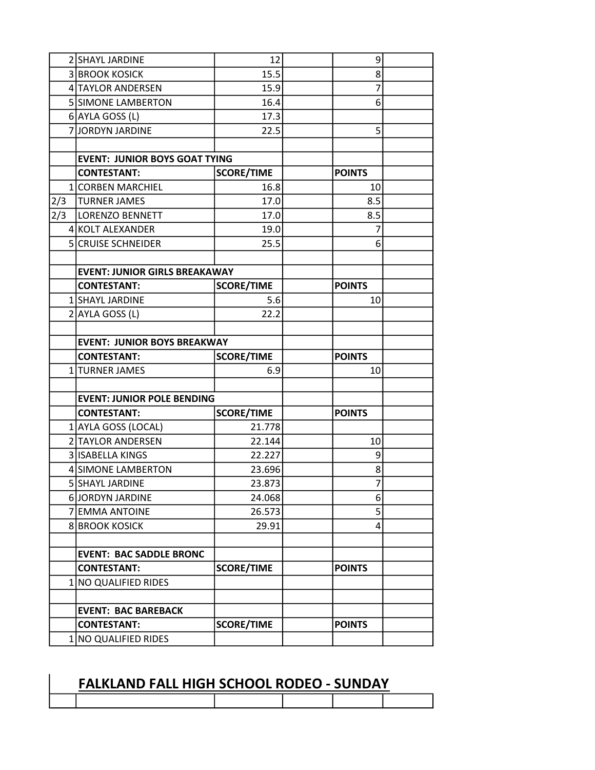|     | 2 SHAYL JARDINE                      | 12                |  | 9              |  |
|-----|--------------------------------------|-------------------|--|----------------|--|
|     | <b>3 BROOK KOSICK</b>                | 15.5              |  | 8              |  |
|     | 4 TAYLOR ANDERSEN                    | 15.9              |  | 7              |  |
|     | 5 SIMONE LAMBERTON                   | 16.4              |  | 6              |  |
|     | 6 AYLA GOSS (L)                      | 17.3              |  |                |  |
|     | 7JJORDYN JARDINE                     | 22.5              |  | 5              |  |
|     |                                      |                   |  |                |  |
|     | <b>EVENT: JUNIOR BOYS GOAT TYING</b> |                   |  |                |  |
|     | <b>CONTESTANT:</b>                   | <b>SCORE/TIME</b> |  | <b>POINTS</b>  |  |
|     | 1 CORBEN MARCHIEL                    | 16.8              |  | 10             |  |
| 2/3 | <b>TURNER JAMES</b>                  | 17.0              |  | 8.5            |  |
| 2/3 | <b>LORENZO BENNETT</b>               | 17.0              |  | 8.5            |  |
|     | 4 KOLT ALEXANDER                     | 19.0              |  | 7              |  |
|     | 5 CRUISE SCHNEIDER                   | 25.5              |  | 6              |  |
|     |                                      |                   |  |                |  |
|     | <b>EVENT: JUNIOR GIRLS BREAKAWAY</b> |                   |  |                |  |
|     | <b>CONTESTANT:</b>                   | <b>SCORE/TIME</b> |  | <b>POINTS</b>  |  |
|     | 1 SHAYL JARDINE                      | 5.6               |  | 10             |  |
|     | 2 AYLA GOSS (L)                      | 22.2              |  |                |  |
|     |                                      |                   |  |                |  |
|     | <b>EVENT: JUNIOR BOYS BREAKWAY</b>   |                   |  |                |  |
|     |                                      |                   |  |                |  |
|     | <b>CONTESTANT:</b>                   | <b>SCORE/TIME</b> |  | <b>POINTS</b>  |  |
|     | 1 TURNER JAMES                       | 6.9               |  | 10             |  |
|     |                                      |                   |  |                |  |
|     | <b>EVENT: JUNIOR POLE BENDING</b>    |                   |  |                |  |
|     | <b>CONTESTANT:</b>                   | <b>SCORE/TIME</b> |  | <b>POINTS</b>  |  |
|     | 1 AYLA GOSS (LOCAL)                  | 21.778            |  |                |  |
|     | 2 TAYLOR ANDERSEN                    | 22.144            |  | 10             |  |
|     | 3 ISABELLA KINGS                     | 22.227            |  | 9              |  |
|     | 4 SIMONE LAMBERTON                   | 23.696            |  | 8              |  |
|     | 5 SHAYL JARDINE                      | 23.873            |  | $\overline{7}$ |  |
|     | 6 JORDYN JARDINE                     | 24.068            |  | 6              |  |
|     | 7 EMMA ANTOINE                       | 26.573            |  | 5              |  |
|     | <b>8 BROOK KOSICK</b>                | 29.91             |  | 4              |  |
|     |                                      |                   |  |                |  |
|     | <b>EVENT: BAC SADDLE BRONC</b>       |                   |  |                |  |
|     | <b>CONTESTANT:</b>                   | <b>SCORE/TIME</b> |  | <b>POINTS</b>  |  |
|     | 1 NO QUALIFIED RIDES                 |                   |  |                |  |
|     |                                      |                   |  |                |  |
|     | <b>EVENT: BAC BAREBACK</b>           |                   |  |                |  |
|     | <b>CONTESTANT:</b>                   | <b>SCORE/TIME</b> |  | <b>POINTS</b>  |  |

## FALKLAND FALL HIGH SCHOOL RODEO - SUNDAY

 $\overline{\phantom{a}}$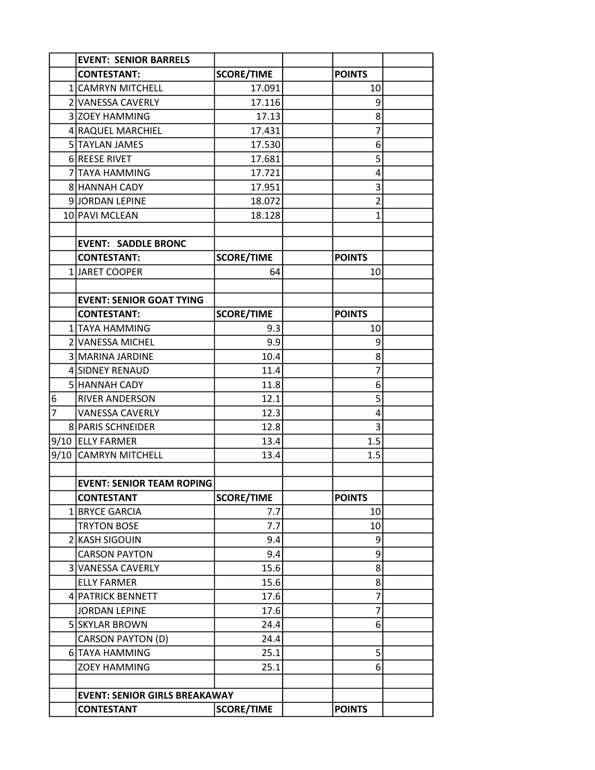|                | <b>EVENT: SENIOR BARRELS</b>         |                   |                |  |
|----------------|--------------------------------------|-------------------|----------------|--|
|                | <b>CONTESTANT:</b>                   | <b>SCORE/TIME</b> | <b>POINTS</b>  |  |
|                | 1 CAMRYN MITCHELL                    | 17.091            | 10             |  |
|                | 2 VANESSA CAVERLY                    | 17.116            | 9              |  |
|                | 3 ZOEY HAMMING                       | 17.13             | 8              |  |
|                | 4 RAQUEL MARCHIEL                    | 17.431            | 7              |  |
|                | 5 TAYLAN JAMES                       | 17.530            | 6              |  |
|                | 6 REESE RIVET                        | 17.681            | 5              |  |
|                | 7 TAYA HAMMING                       | 17.721            | 4              |  |
|                | 8 HANNAH CADY                        | 17.951            | 3              |  |
|                | 9JORDAN LEPINE                       | 18.072            | $\overline{2}$ |  |
|                | 10 PAVI MCLEAN                       | 18.128            | $\mathbf{1}$   |  |
|                |                                      |                   |                |  |
|                | <b>EVENT: SADDLE BRONC</b>           |                   |                |  |
|                | <b>CONTESTANT:</b>                   | <b>SCORE/TIME</b> | <b>POINTS</b>  |  |
|                | 1 JARET COOPER                       | 64                | 10             |  |
|                |                                      |                   |                |  |
|                | <b>EVENT: SENIOR GOAT TYING</b>      |                   |                |  |
|                | <b>CONTESTANT:</b>                   | <b>SCORE/TIME</b> | <b>POINTS</b>  |  |
|                | 1 TAYA HAMMING                       | 9.3               | 10             |  |
|                | 2 VANESSA MICHEL                     | 9.9               | 9              |  |
|                | 3 MARINA JARDINE                     | 10.4              | 8              |  |
|                | 4 SIDNEY RENAUD                      | 11.4              | 7              |  |
|                | 5 HANNAH CADY                        | 11.8              | 6              |  |
| 6              | <b>RIVER ANDERSON</b>                | 12.1              | 5              |  |
| $\overline{7}$ | <b>VANESSA CAVERLY</b>               | 12.3              | 4              |  |
|                | 8 PARIS SCHNEIDER                    | 12.8              | 3              |  |
|                | 9/10 ELLY FARMER                     | 13.4              | 1.5            |  |
|                | 9/10 CAMRYN MITCHELL                 | 13.4              | 1.5            |  |
|                |                                      |                   |                |  |
|                | <b>EVENT: SENIOR TEAM ROPING</b>     |                   |                |  |
|                | <b>CONTESTANT</b>                    | <b>SCORE/TIME</b> | <b>POINTS</b>  |  |
|                | 1 BRYCE GARCIA                       | 7.7               | 10             |  |
|                | <b>TRYTON BOSE</b>                   | 7.7               | 10             |  |
|                | 2 KASH SIGOUIN                       | 9.4               | 9              |  |
|                | <b>CARSON PAYTON</b>                 | 9.4               | 9              |  |
|                | 3 VANESSA CAVERLY                    | 15.6              | 8              |  |
|                | <b>ELLY FARMER</b>                   | 15.6              | 8              |  |
|                | 4 PATRICK BENNETT                    | 17.6              | 7              |  |
|                | <b>JORDAN LEPINE</b>                 | 17.6              | 7              |  |
|                | 5 SKYLAR BROWN                       | 24.4              | 6              |  |
|                | CARSON PAYTON (D)                    | 24.4              |                |  |
|                | 6 TAYA HAMMING                       | 25.1              | 5              |  |
|                | <b>ZOEY HAMMING</b>                  | 25.1              | 6              |  |
|                |                                      |                   |                |  |
|                | <b>EVENT: SENIOR GIRLS BREAKAWAY</b> |                   |                |  |
|                | <b>CONTESTANT</b>                    | <b>SCORE/TIME</b> | <b>POINTS</b>  |  |